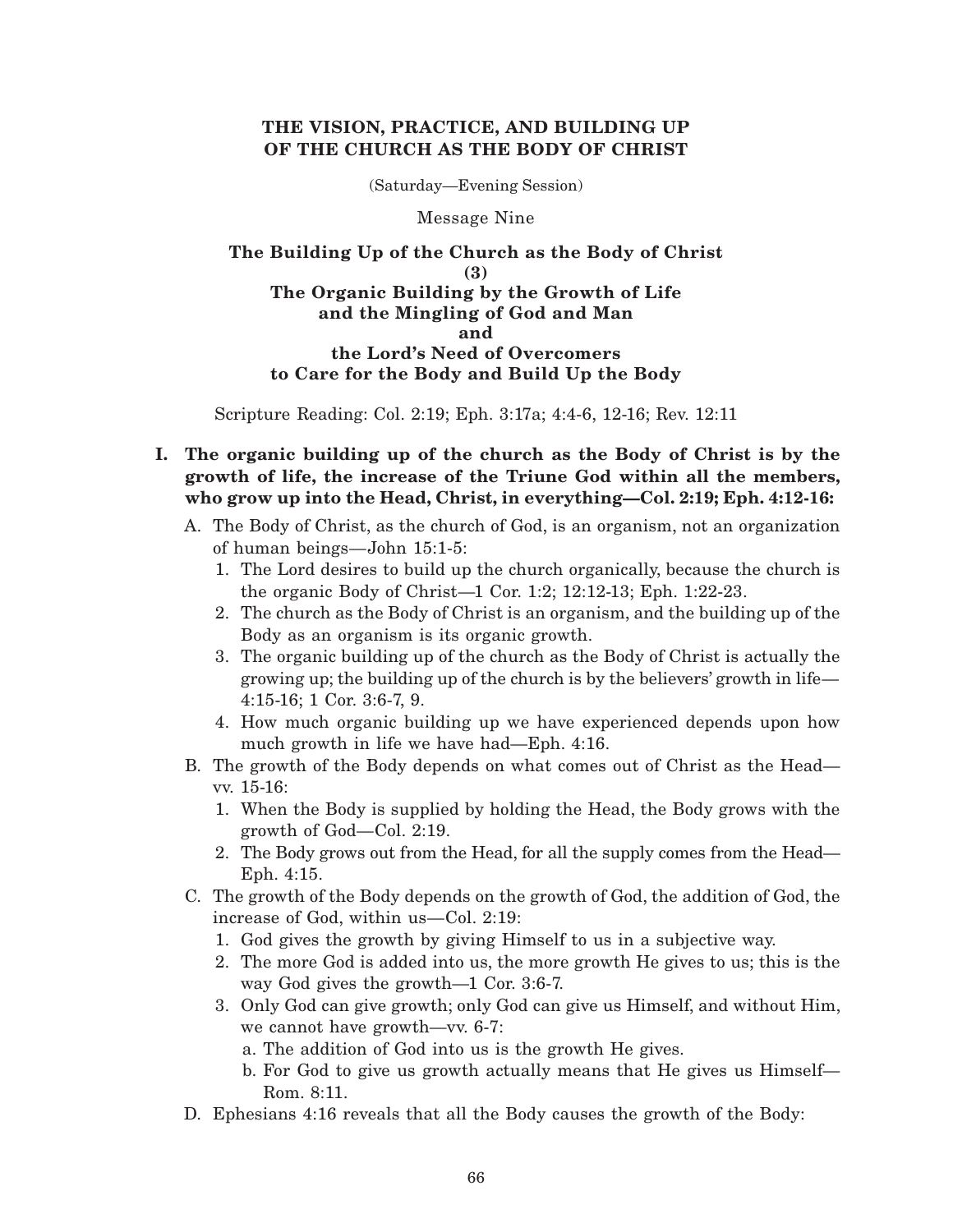## **THE VISION, PRACTICE, AND BUILDING UP OF THE CHURCH AS THE BODY OF CHRIST**

(Saturday—Evening Session)

Message Nine

## **The Building Up of the Church as the Body of Christ (3) The Organic Building by the Growth of Life and the Mingling of God and Man and the Lord's Need of Overcomers to Care for the Body and Build Up the Body**

Scripture Reading: Col. 2:19; Eph. 3:17a; 4:4-6, 12-16; Rev. 12:11

# **I. The organic building up of the church as the Body of Christ is by the growth of life, the increase of the Triune God within all the members, who grow up into the Head, Christ, in everything—Col. 2:19; Eph. 4:12-16:**

- A. The Body of Christ, as the church of God, is an organism, not an organization of human beings—John 15:1-5:
	- 1. The Lord desires to build up the church organically, because the church is the organic Body of Christ—1 Cor. 1:2; 12:12-13; Eph. 1:22-23.
	- 2. The church as the Body of Christ is an organism, and the building up of the Body as an organism is its organic growth.
	- 3. The organic building up of the church as the Body of Christ is actually the growing up; the building up of the church is by the believers' growth in life— 4:15-16; 1 Cor. 3:6-7, 9.
	- 4. How much organic building up we have experienced depends upon how much growth in life we have had—Eph. 4:16.
- B. The growth of the Body depends on what comes out of Christ as the Head vv. 15-16:
	- 1. When the Body is supplied by holding the Head, the Body grows with the growth of God—Col. 2:19.
	- 2. The Body grows out from the Head, for all the supply comes from the Head— Eph. 4:15.
- C. The growth of the Body depends on the growth of God, the addition of God, the increase of God, within us—Col. 2:19:
	- 1. God gives the growth by giving Himself to us in a subjective way.
	- 2. The more God is added into us, the more growth He gives to us; this is the way God gives the growth—1 Cor. 3:6-7.
	- 3. Only God can give growth; only God can give us Himself, and without Him, we cannot have growth—vv. 6-7:
		- a. The addition of God into us is the growth He gives.
		- b. For God to give us growth actually means that He gives us Himself— Rom. 8:11.
- D. Ephesians 4:16 reveals that all the Body causes the growth of the Body: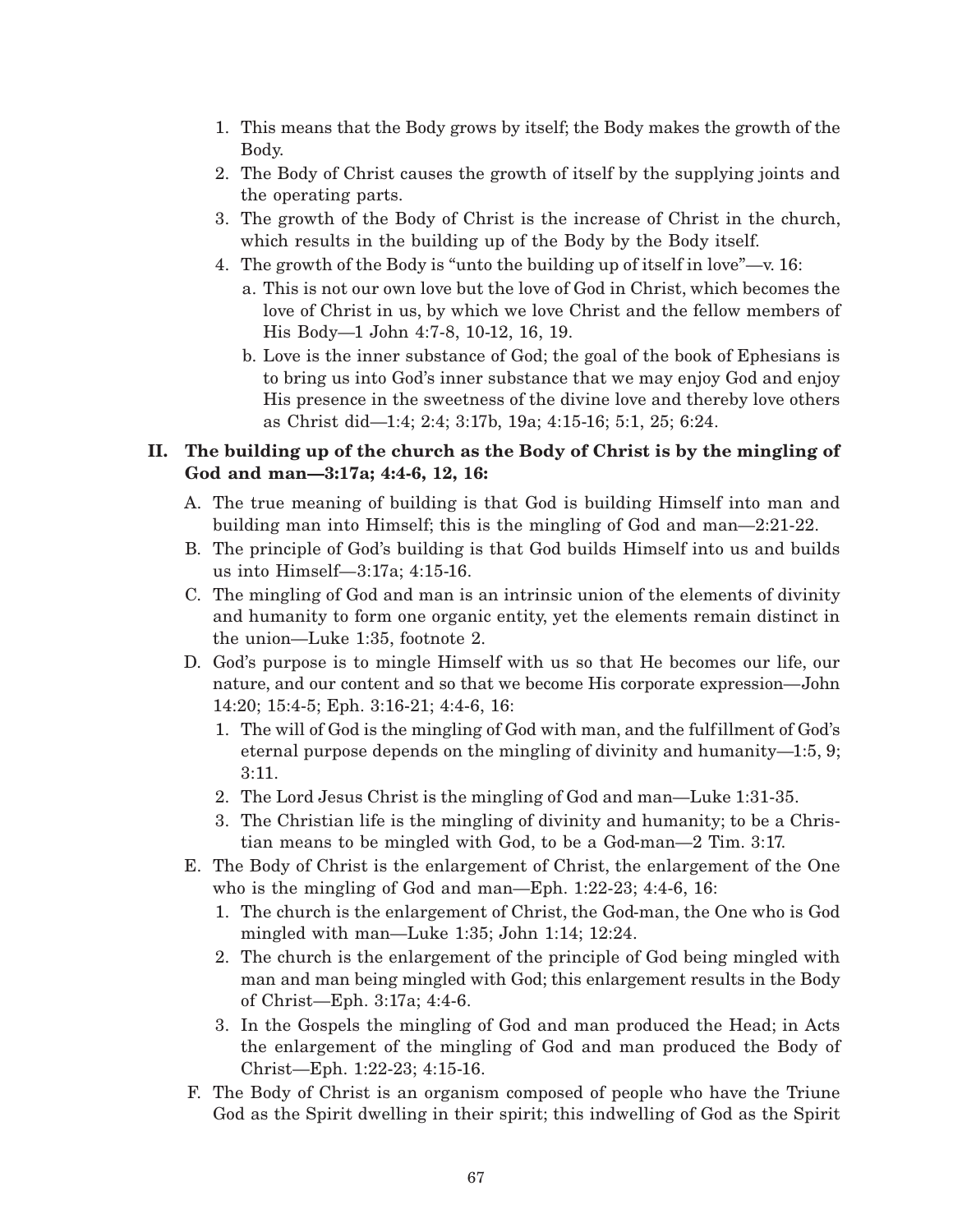- 1. This means that the Body grows by itself; the Body makes the growth of the Body.
- 2. The Body of Christ causes the growth of itself by the supplying joints and the operating parts.
- 3. The growth of the Body of Christ is the increase of Christ in the church, which results in the building up of the Body by the Body itself.
- 4. The growth of the Body is "unto the building up of itself in love"—v. 16:
	- a. This is not our own love but the love of God in Christ, which becomes the love of Christ in us, by which we love Christ and the fellow members of His Body—1 John 4:7-8, 10-12, 16, 19.
	- b. Love is the inner substance of God; the goal of the book of Ephesians is to bring us into God's inner substance that we may enjoy God and enjoy His presence in the sweetness of the divine love and thereby love others as Christ did—1:4; 2:4; 3:17b, 19a; 4:15-16; 5:1, 25; 6:24.

# **II. The building up of the church as the Body of Christ is by the mingling of God and man—3:17a; 4:4-6, 12, 16:**

- A. The true meaning of building is that God is building Himself into man and building man into Himself; this is the mingling of God and man—2:21-22.
- B. The principle of God's building is that God builds Himself into us and builds us into Himself—3:17a; 4:15-16.
- C. The mingling of God and man is an intrinsic union of the elements of divinity and humanity to form one organic entity, yet the elements remain distinct in the union—Luke 1:35, footnote 2.
- D. God's purpose is to mingle Himself with us so that He becomes our life, our nature, and our content and so that we become His corporate expression—John 14:20; 15:4-5; Eph. 3:16-21; 4:4-6, 16:
	- 1. The will of God is the mingling of God with man, and the fulfillment of God's eternal purpose depends on the mingling of divinity and humanity—1:5, 9; 3:11.
	- 2. The Lord Jesus Christ is the mingling of God and man—Luke 1:31-35.
	- 3. The Christian life is the mingling of divinity and humanity; to be a Christian means to be mingled with God, to be a God-man—2 Tim. 3:17.
- E. The Body of Christ is the enlargement of Christ, the enlargement of the One who is the mingling of God and man—Eph. 1:22-23; 4:4-6, 16:
	- 1. The church is the enlargement of Christ, the God-man, the One who is God mingled with man—Luke 1:35; John 1:14; 12:24.
	- 2. The church is the enlargement of the principle of God being mingled with man and man being mingled with God; this enlargement results in the Body of Christ—Eph. 3:17a; 4:4-6.
	- 3. In the Gospels the mingling of God and man produced the Head; in Acts the enlargement of the mingling of God and man produced the Body of Christ—Eph. 1:22-23; 4:15-16.
- F. The Body of Christ is an organism composed of people who have the Triune God as the Spirit dwelling in their spirit; this indwelling of God as the Spirit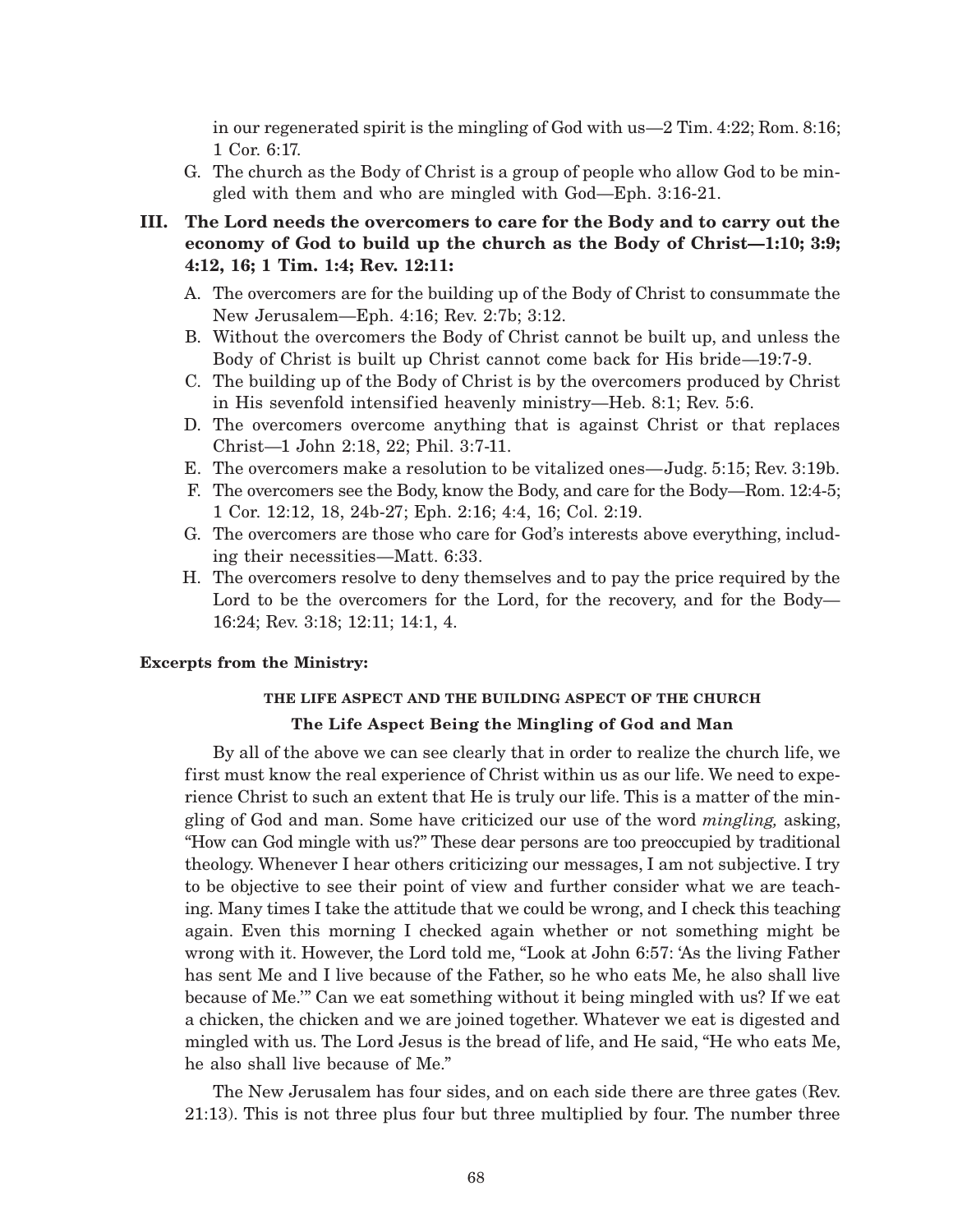in our regenerated spirit is the mingling of God with us—2 Tim. 4:22; Rom. 8:16; 1 Cor. 6:17.

- G. The church as the Body of Christ is a group of people who allow God to be mingled with them and who are mingled with God—Eph. 3:16-21.
- **III. The Lord needs the overcomers to care for the Body and to carry out the economy of God to build up the church as the Body of Christ—1:10; 3:9; 4:12, 16; 1 Tim. 1:4; Rev. 12:11:**
	- A. The overcomers are for the building up of the Body of Christ to consummate the New Jerusalem—Eph. 4:16; Rev. 2:7b; 3:12.
	- B. Without the overcomers the Body of Christ cannot be built up, and unless the Body of Christ is built up Christ cannot come back for His bride—19:7-9.
	- C. The building up of the Body of Christ is by the overcomers produced by Christ in His sevenfold intensified heavenly ministry—Heb. 8:1; Rev. 5:6.
	- D. The overcomers overcome anything that is against Christ or that replaces Christ—1 John 2:18, 22; Phil. 3:7-11.
	- E. The overcomers make a resolution to be vitalized ones—Judg. 5:15; Rev. 3:19b.
	- F. The overcomers see the Body, know the Body, and care for the Body—Rom. 12:4-5; 1 Cor. 12:12, 18, 24b-27; Eph. 2:16; 4:4, 16; Col. 2:19.
	- G. The overcomers are those who care for God's interests above everything, including their necessities—Matt. 6:33.
	- H. The overcomers resolve to deny themselves and to pay the price required by the Lord to be the overcomers for the Lord, for the recovery, and for the Body— 16:24; Rev. 3:18; 12:11; 14:1, 4.

### **Excerpts from the Ministry:**

# **THE LIFE ASPECT AND THE BUILDING ASPECT OF THE CHURCH The Life Aspect Being the Mingling of God and Man**

By all of the above we can see clearly that in order to realize the church life, we first must know the real experience of Christ within us as our life. We need to experience Christ to such an extent that He is truly our life. This is a matter of the mingling of God and man. Some have criticized our use of the word *mingling,* asking, "How can God mingle with us?" These dear persons are too preoccupied by traditional theology. Whenever I hear others criticizing our messages, I am not subjective. I try to be objective to see their point of view and further consider what we are teaching. Many times I take the attitude that we could be wrong, and I check this teaching again. Even this morning I checked again whether or not something might be wrong with it. However, the Lord told me, "Look at John 6:57: 'As the living Father has sent Me and I live because of the Father, so he who eats Me, he also shall live because of Me.'" Can we eat something without it being mingled with us? If we eat a chicken, the chicken and we are joined together. Whatever we eat is digested and mingled with us. The Lord Jesus is the bread of life, and He said, "He who eats Me, he also shall live because of Me."

The New Jerusalem has four sides, and on each side there are three gates (Rev. 21:13). This is not three plus four but three multiplied by four. The number three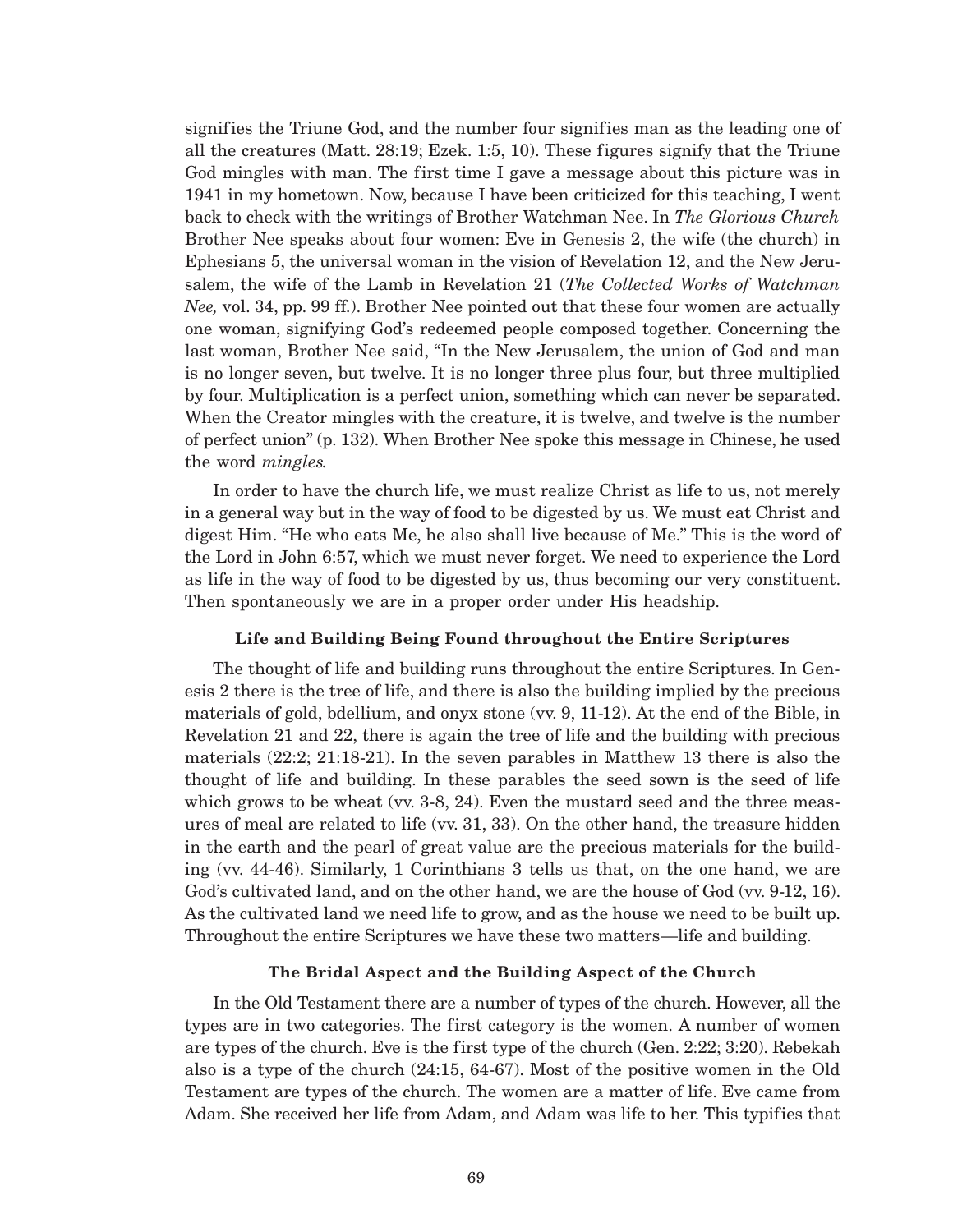signifies the Triune God, and the number four signifies man as the leading one of all the creatures (Matt. 28:19; Ezek. 1:5, 10). These figures signify that the Triune God mingles with man. The first time I gave a message about this picture was in 1941 in my hometown. Now, because I have been criticized for this teaching, I went back to check with the writings of Brother Watchman Nee. In *The Glorious Church* Brother Nee speaks about four women: Eve in Genesis 2, the wife (the church) in Ephesians 5, the universal woman in the vision of Revelation 12, and the New Jerusalem, the wife of the Lamb in Revelation 21 (*The Collected Works of Watchman Nee,* vol. 34, pp. 99 ff.). Brother Nee pointed out that these four women are actually one woman, signifying God's redeemed people composed together. Concerning the last woman, Brother Nee said, "In the New Jerusalem, the union of God and man is no longer seven, but twelve. It is no longer three plus four, but three multiplied by four. Multiplication is a perfect union, something which can never be separated. When the Creator mingles with the creature, it is twelve, and twelve is the number of perfect union" (p. 132). When Brother Nee spoke this message in Chinese, he used the word *mingles.*

In order to have the church life, we must realize Christ as life to us, not merely in a general way but in the way of food to be digested by us. We must eat Christ and digest Him. "He who eats Me, he also shall live because of Me." This is the word of the Lord in John 6:57, which we must never forget. We need to experience the Lord as life in the way of food to be digested by us, thus becoming our very constituent. Then spontaneously we are in a proper order under His headship.

## **Life and Building Being Found throughout the Entire Scriptures**

The thought of life and building runs throughout the entire Scriptures. In Genesis 2 there is the tree of life, and there is also the building implied by the precious materials of gold, bdellium, and onyx stone (vv. 9, 11-12). At the end of the Bible, in Revelation 21 and 22, there is again the tree of life and the building with precious materials (22:2; 21:18-21). In the seven parables in Matthew 13 there is also the thought of life and building. In these parables the seed sown is the seed of life which grows to be wheat (vv. 3-8, 24). Even the mustard seed and the three measures of meal are related to life (vv. 31, 33). On the other hand, the treasure hidden in the earth and the pearl of great value are the precious materials for the building (vv. 44-46). Similarly, 1 Corinthians 3 tells us that, on the one hand, we are God's cultivated land, and on the other hand, we are the house of God (vv. 9-12, 16). As the cultivated land we need life to grow, and as the house we need to be built up. Throughout the entire Scriptures we have these two matters—life and building.

### **The Bridal Aspect and the Building Aspect of the Church**

In the Old Testament there are a number of types of the church. However, all the types are in two categories. The first category is the women. A number of women are types of the church. Eve is the first type of the church (Gen. 2:22; 3:20). Rebekah also is a type of the church (24:15, 64-67). Most of the positive women in the Old Testament are types of the church. The women are a matter of life. Eve came from Adam. She received her life from Adam, and Adam was life to her. This typifies that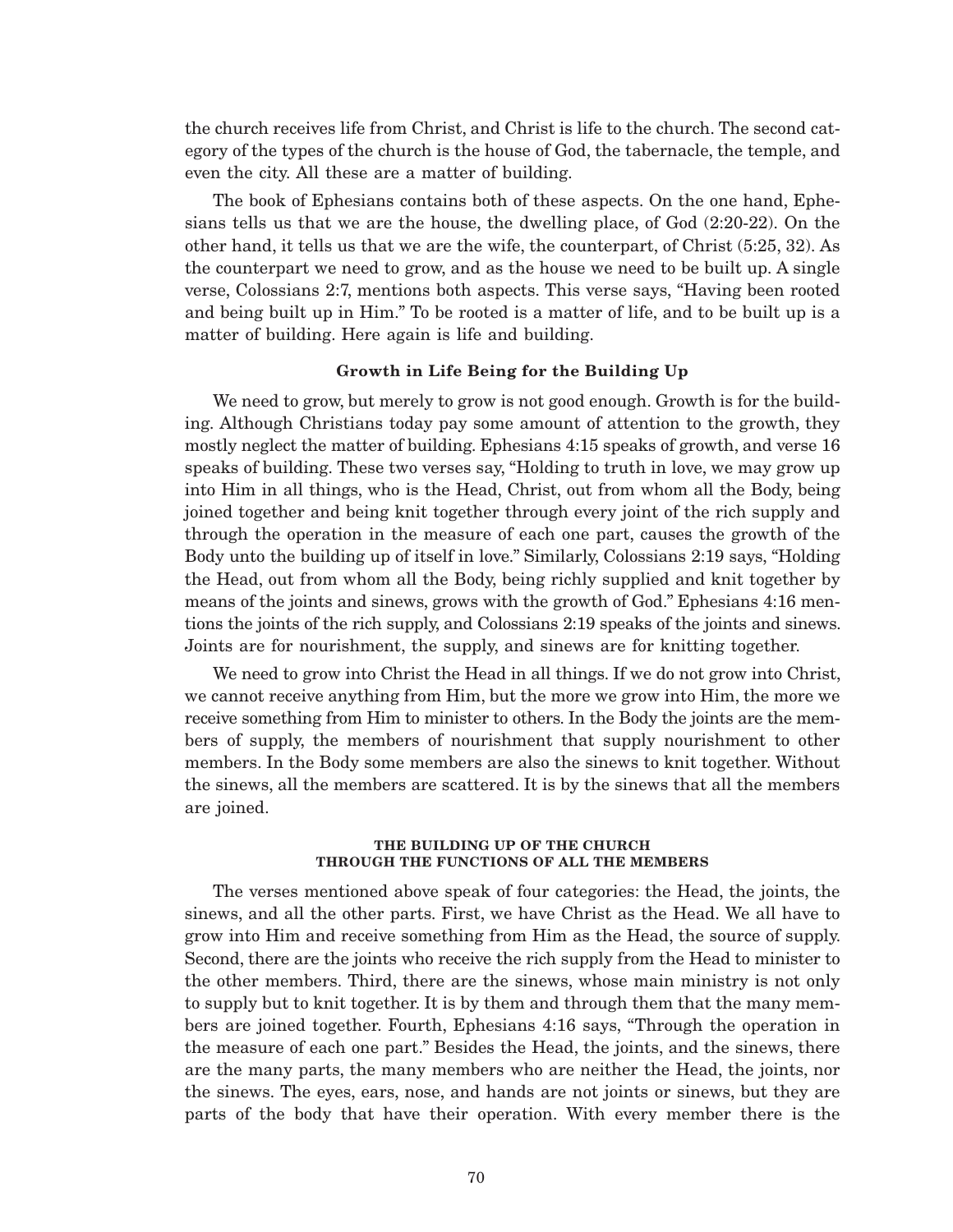the church receives life from Christ, and Christ is life to the church. The second category of the types of the church is the house of God, the tabernacle, the temple, and even the city. All these are a matter of building.

The book of Ephesians contains both of these aspects. On the one hand, Ephesians tells us that we are the house, the dwelling place, of God (2:20-22). On the other hand, it tells us that we are the wife, the counterpart, of Christ (5:25, 32). As the counterpart we need to grow, and as the house we need to be built up. A single verse, Colossians 2:7, mentions both aspects. This verse says, "Having been rooted and being built up in Him." To be rooted is a matter of life, and to be built up is a matter of building. Here again is life and building.

### **Growth in Life Being for the Building Up**

We need to grow, but merely to grow is not good enough. Growth is for the building. Although Christians today pay some amount of attention to the growth, they mostly neglect the matter of building. Ephesians 4:15 speaks of growth, and verse 16 speaks of building. These two verses say, "Holding to truth in love, we may grow up into Him in all things, who is the Head, Christ, out from whom all the Body, being joined together and being knit together through every joint of the rich supply and through the operation in the measure of each one part, causes the growth of the Body unto the building up of itself in love." Similarly, Colossians 2:19 says, "Holding the Head, out from whom all the Body, being richly supplied and knit together by means of the joints and sinews, grows with the growth of God." Ephesians 4:16 mentions the joints of the rich supply, and Colossians 2:19 speaks of the joints and sinews. Joints are for nourishment, the supply, and sinews are for knitting together.

We need to grow into Christ the Head in all things. If we do not grow into Christ, we cannot receive anything from Him, but the more we grow into Him, the more we receive something from Him to minister to others. In the Body the joints are the members of supply, the members of nourishment that supply nourishment to other members. In the Body some members are also the sinews to knit together. Without the sinews, all the members are scattered. It is by the sinews that all the members are joined.

### **THE BUILDING UP OF THE CHURCH THROUGH THE FUNCTIONS OF ALL THE MEMBERS**

The verses mentioned above speak of four categories: the Head, the joints, the sinews, and all the other parts. First, we have Christ as the Head. We all have to grow into Him and receive something from Him as the Head, the source of supply. Second, there are the joints who receive the rich supply from the Head to minister to the other members. Third, there are the sinews, whose main ministry is not only to supply but to knit together. It is by them and through them that the many members are joined together. Fourth, Ephesians 4:16 says, "Through the operation in the measure of each one part." Besides the Head, the joints, and the sinews, there are the many parts, the many members who are neither the Head, the joints, nor the sinews. The eyes, ears, nose, and hands are not joints or sinews, but they are parts of the body that have their operation. With every member there is the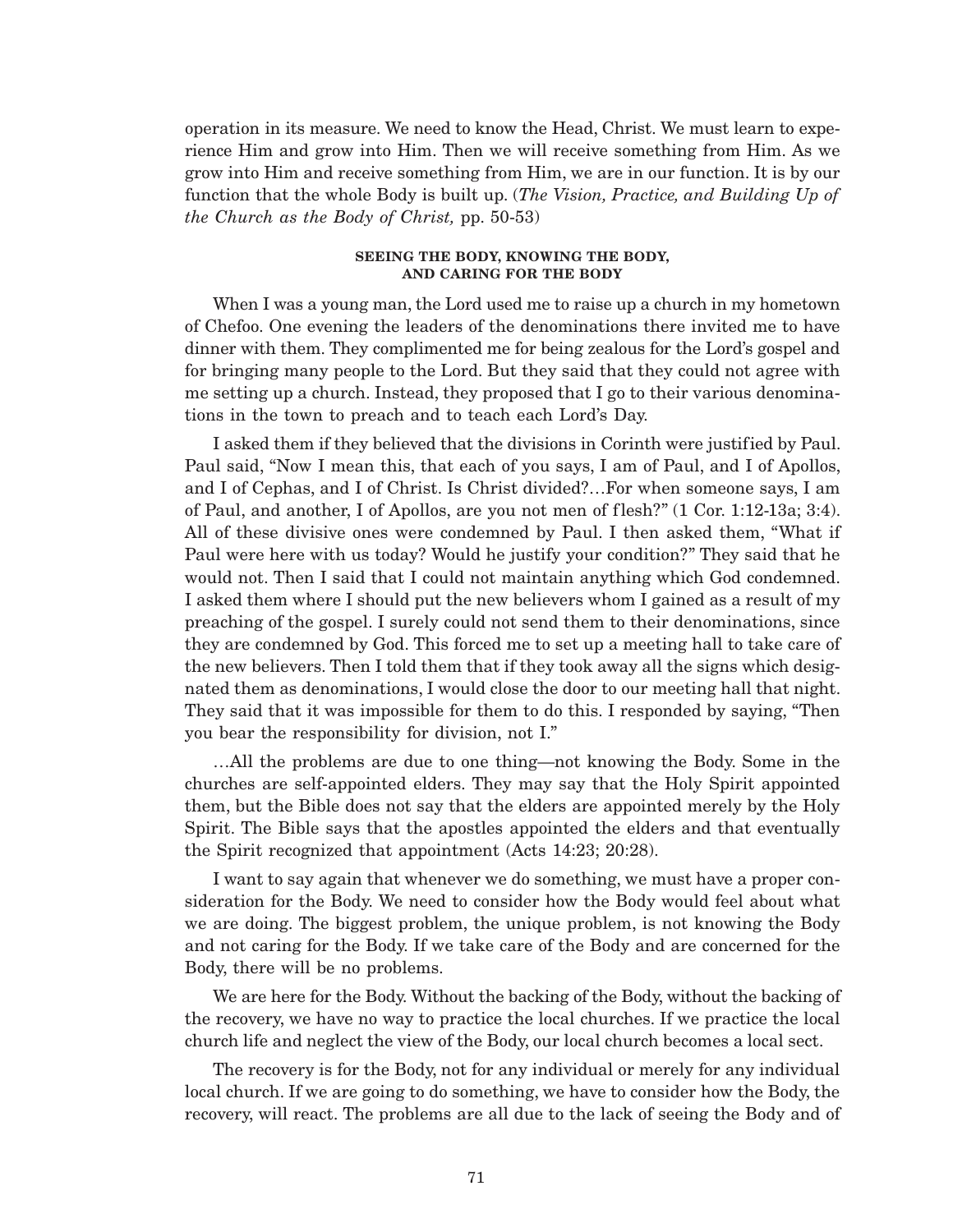operation in its measure. We need to know the Head, Christ. We must learn to experience Him and grow into Him. Then we will receive something from Him. As we grow into Him and receive something from Him, we are in our function. It is by our function that the whole Body is built up. (*The Vision, Practice, and Building Up of the Church as the Body of Christ,* pp. 50-53)

### **SEEING THE BODY, KNOWING THE BODY, AND CARING FOR THE BODY**

When I was a young man, the Lord used me to raise up a church in my hometown of Chefoo. One evening the leaders of the denominations there invited me to have dinner with them. They complimented me for being zealous for the Lord's gospel and for bringing many people to the Lord. But they said that they could not agree with me setting up a church. Instead, they proposed that I go to their various denominations in the town to preach and to teach each Lord's Day.

I asked them if they believed that the divisions in Corinth were justified by Paul. Paul said, "Now I mean this, that each of you says, I am of Paul, and I of Apollos, and I of Cephas, and I of Christ. Is Christ divided?…For when someone says, I am of Paul, and another, I of Apollos, are you not men of flesh?" (1 Cor. 1:12-13a; 3:4). All of these divisive ones were condemned by Paul. I then asked them, "What if Paul were here with us today? Would he justify your condition?" They said that he would not. Then I said that I could not maintain anything which God condemned. I asked them where I should put the new believers whom I gained as a result of my preaching of the gospel. I surely could not send them to their denominations, since they are condemned by God. This forced me to set up a meeting hall to take care of the new believers. Then I told them that if they took away all the signs which designated them as denominations, I would close the door to our meeting hall that night. They said that it was impossible for them to do this. I responded by saying, "Then you bear the responsibility for division, not I."

…All the problems are due to one thing—not knowing the Body. Some in the churches are self-appointed elders. They may say that the Holy Spirit appointed them, but the Bible does not say that the elders are appointed merely by the Holy Spirit. The Bible says that the apostles appointed the elders and that eventually the Spirit recognized that appointment (Acts 14:23; 20:28).

I want to say again that whenever we do something, we must have a proper consideration for the Body. We need to consider how the Body would feel about what we are doing. The biggest problem, the unique problem, is not knowing the Body and not caring for the Body. If we take care of the Body and are concerned for the Body, there will be no problems.

We are here for the Body. Without the backing of the Body, without the backing of the recovery, we have no way to practice the local churches. If we practice the local church life and neglect the view of the Body, our local church becomes a local sect.

The recovery is for the Body, not for any individual or merely for any individual local church. If we are going to do something, we have to consider how the Body, the recovery, will react. The problems are all due to the lack of seeing the Body and of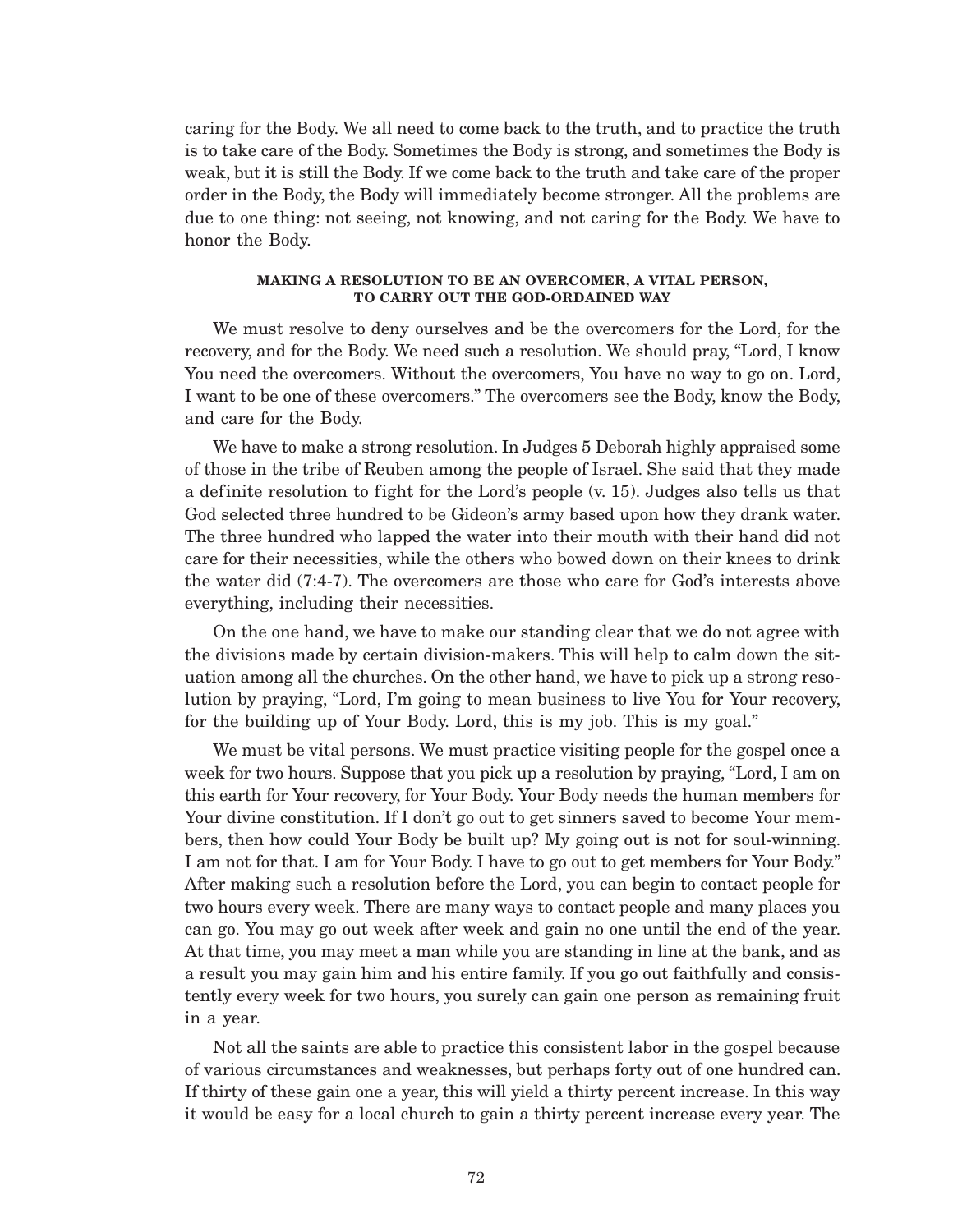caring for the Body. We all need to come back to the truth, and to practice the truth is to take care of the Body. Sometimes the Body is strong, and sometimes the Body is weak, but it is still the Body. If we come back to the truth and take care of the proper order in the Body, the Body will immediately become stronger. All the problems are due to one thing: not seeing, not knowing, and not caring for the Body. We have to honor the Body.

### **MAKING A RESOLUTION TO BE AN OVERCOMER, A VITAL PERSON, TO CARRY OUT THE GOD-ORDAINED WAY**

We must resolve to deny ourselves and be the overcomers for the Lord, for the recovery, and for the Body. We need such a resolution. We should pray, "Lord, I know You need the overcomers. Without the overcomers, You have no way to go on. Lord, I want to be one of these overcomers." The overcomers see the Body, know the Body, and care for the Body.

We have to make a strong resolution. In Judges 5 Deborah highly appraised some of those in the tribe of Reuben among the people of Israel. She said that they made a definite resolution to fight for the Lord's people (v. 15). Judges also tells us that God selected three hundred to be Gideon's army based upon how they drank water. The three hundred who lapped the water into their mouth with their hand did not care for their necessities, while the others who bowed down on their knees to drink the water did (7:4-7). The overcomers are those who care for God's interests above everything, including their necessities.

On the one hand, we have to make our standing clear that we do not agree with the divisions made by certain division-makers. This will help to calm down the situation among all the churches. On the other hand, we have to pick up a strong resolution by praying, "Lord, I'm going to mean business to live You for Your recovery, for the building up of Your Body. Lord, this is my job. This is my goal."

We must be vital persons. We must practice visiting people for the gospel once a week for two hours. Suppose that you pick up a resolution by praying, "Lord, I am on this earth for Your recovery, for Your Body. Your Body needs the human members for Your divine constitution. If I don't go out to get sinners saved to become Your members, then how could Your Body be built up? My going out is not for soul-winning. I am not for that. I am for Your Body. I have to go out to get members for Your Body." After making such a resolution before the Lord, you can begin to contact people for two hours every week. There are many ways to contact people and many places you can go. You may go out week after week and gain no one until the end of the year. At that time, you may meet a man while you are standing in line at the bank, and as a result you may gain him and his entire family. If you go out faithfully and consistently every week for two hours, you surely can gain one person as remaining fruit in a year.

Not all the saints are able to practice this consistent labor in the gospel because of various circumstances and weaknesses, but perhaps forty out of one hundred can. If thirty of these gain one a year, this will yield a thirty percent increase. In this way it would be easy for a local church to gain a thirty percent increase every year. The